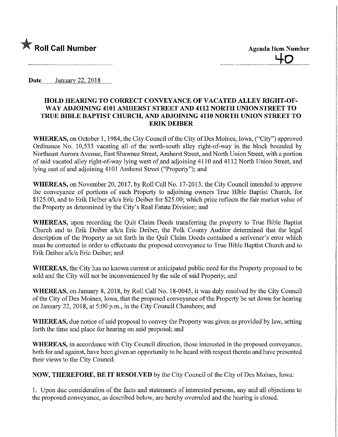

**Agenda Item Number** 

**Date**, January 22, 2018

## HOLD HEARING TO CORRECT CONVEYANCE OF VACATED ALLEY mGHT-OF-WAY ADJOINING 4101 AMHERST STREET AND 4112 NORTH UNION STREET TO TRUE BIBLE BAPTIST CHURCH, AND ADJOINING 4110 NORTH UNION STREET TO ERIKDEIBER

WHEREAS, on October 1, 1984, the City Council of the City of Des Moines, Iowa, ("City") approved Ordinance No. 10,533 vacating all of the north-south alley right-of-way in the block bounded by Northeast Aurora Avenue, East Shawnee Street, Amherst Street, and North Union Street, with a portion of said vacated alley right-of-way lying west of,and adjoining 4110 and 4112 North Union Street, and lying east of and adjoining 4101 Amherst Street ("Property"); and

WHEREAS, on November 20, 2017, by Roll Call No. 17-2013, the City Council intended to approve the conveyance of portions of such Property to adjoining owners Tme Bible Baptist Church, for \$125.00, and to Erik Deiber a/k/a Eric Deiber for \$25.00; which price reflects the fair market value of the Property as determined by the City's Real Estate Division; and

WHEREAS, upon recording the Quit Claim Deeds transferring the property to True Bible Baptist Church and to Erik Deiber a/k/a Eric Deiber, the Polk County Auditor determined that the legal description of the Property as set forth in the Quit Claim Deeds contained a scrivener's error which must be corrected in order to effectuate the proposed conveyance to Tme Bible Baptist Church and to Erik Deiber a/k/a Eric Deiber; and

WHEREAS, the City has no known current or anticipated public need for the Property proposed to be sold and the City will not be inconvenienced by the sale of said Property; and

WHEREAS, on January 8, 2018, by Roll Call No. 18-0045, it was duly resolved by the City Council of the City of Des Moines, Iowa, that the proposed conveyance of the Property be set down for hearing on January 22, 2018, at 5:00 p.m., in the City Council Chambers; and

WHEREAS, due notice of said proposal to convey the Property was given as provided by law, setting forth the time and place for hearing on said proposal; and

WHEREAS, in accordance with City Council direction, those interested in the proposed conveyance, both for and against, have been given an opportunity to be heard with respect thereto and have presented their views to the City Council.

NOW, THEREFORE, BE IT RESOLVED by the City Council of the City of Des Moines, Iowa:

1. Upon due consideration of the facts and statements of interested persons, any and all objections to the proposed conveyance, as described below, are hereby overruled and the hearing is closed.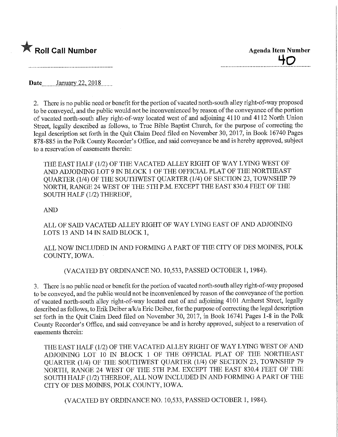

Date........January 22, 2018

2. There is no public need or benefit for the portion of vacated north-south alley right-of-way proposed to be conveyed, and the public would not be inconvenienced by reason of the conveyance of the portion of vacated north-south alley right-of-way located west of and adjoining 4110 and 4112 North Union Street, legally described as follows, to True Bible Baptist Church, for the purpose of correcting the legal description set forth in the Quit Claim Deed filed on November 30, 2017, m Book 16740 Pages 878-885 in the Polk County Recorder's Office, and said conveyance be and is hereby approved, subject to a reservation of easements therein:

THE EAST HALF (1/2) OF THE VACATED ALLEY RIGHT OF WAY LYWG WEST OF AND ADJOINING LOT 9 IN BLOCK 1 OF THE OFFICIAL PLAT OF THE NORTHEAST QUARTER (1/4) OF THE SOUTHWEST QUARTER (1/4) OF SECTION 23, TOWNSHIP 79 NORTH, RANGE 24 WEST OF THE 5TH P.M. EXCEPT THE EAST 830.4 FEET OF THE SOUTH HALF (1/2) THEREOF,

## AND

ALL OF SAID VACATED ALLEY RIGHT OF WAY LYING EAST OF AND ADJOINING LOTS 13 AND 14 IN SAID BLOCK 1,

ALL NOW INCLUDED IN AND FORMING A PART OF THE CITY OF DES MOINES, POLK COUNTY, IOWA.

(VACATED BY ORDINANCE NO. 10,533, PASSED OCTOBER 1, 1984).

3. There is no public need or benefit for the portion of vacated north-south alley right-of-way proposed to be conveyed, and the public would not be inconvenienced by reason of the conveyance of the portion of vacated north-south alley right-of-way located east of and adjoining 4101 Amherst Street, legally described as follows, to Erik Deiber a/k/a Eric Deiber, for the purpose of correcting the legal description set forth in the Quit Claim Deed filed on November 30, 2017, in Book 16741 Pages 1-8 in the Polk County Recorder's Office, and said conveyance be and is hereby approved, subject to a reservation of easements therein:

THE EAST HALF (1/2) OF THE VACATED ALLEY RIGHT OF WAY LYING WEST OF AND ADJOINING LOT 10 IN BLOCK 1 OF THE OFFICIAL PLAT OF THE NORTHEAST QUARTER (1/4) OF THE SOUTHWEST QUARTER (1/4) OF SECTION 23, TOWNSHIP 79 NORTH, RANGE 24 WEST OF THE 5TH P.M. EXCEPT THE EAST 830.4 FEET OF THE SOUTH HALF (1/2) THEREOF, ALL NOW INCLUDED IN AND FORMING A PART OF THE CITY OF DES MOINES, POLK COUNTY, IOWA.

(VACATED BY ORDINANCE NO. 10,533, PASSED OCTOBER 1, 1984).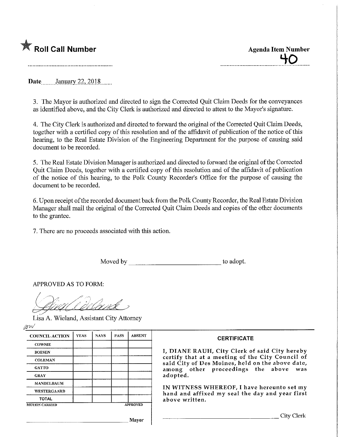

40

Date..\_...January.22^2018.

3. The Mayor is authorized and directed to sign the Corrected Quit Claim Deeds for the conveyances as identified above, and the City Clerk is authorized and directed to attest to the Mayor's signature.

4. The City Clerk is authorized and directed to forward the original of the Corrected Quit Claim Deeds, together with a certified copy of this resolution and of the affidavit of publication of the notice of this hearing, to the Real Estate Division of the Engineering Department for the purpose of causing said document to be recorded.

5. The Real Estate Division Manager is authorized and directed to forward the original of the Corrected Quit Claim Deeds, together with a certified copy of this resolution and of the affidavit of publication of the notice of this hearing, to the Polk County Recorder's Office for the purpose of causmg the document to be recorded.

6. Upon receipt of the recorded document back from the Polk County Recorder, the Real Estate Division Manager shall mail the original of the Corrected Quit Claim Deeds and copies of the other documents to the grantee.

7. There are no proceeds associated with this action.

Moved by to adopt.

APPROVED AS TO FORM:

Lisa A. Wieland, Assistant City Attorney

pw

| <b>COUNCIL ACTION</b> | <b>YEAS</b> | <b>NAYS</b> | <b>PASS</b>     | <b>ABSENT</b> |
|-----------------------|-------------|-------------|-----------------|---------------|
| <b>COWNIE</b>         |             |             |                 |               |
| <b>BOESEN</b>         |             |             |                 |               |
| <b>COLEMAN</b>        |             |             |                 |               |
| GATTO                 |             |             |                 |               |
| <b>GRAY</b>           |             |             |                 |               |
| <b>MANDELBAUM</b>     |             |             |                 |               |
| <b>WESTERGAARD</b>    |             |             |                 |               |
| <b>TOTAL</b>          |             |             |                 |               |
| <b>MOTION CARRIED</b> |             |             | <b>APPROVED</b> |               |

## **CERTIFICATE**

I, DIANE RAUH, City Clerk of said City hereby certify that at a meeting of the City Council of said City of Des Moines, held on the above date, among other proceedings the above was adopted.

IN WITNESS WHEREOF, I have hereunto set my hand and affixed my seal the day and year first above written.